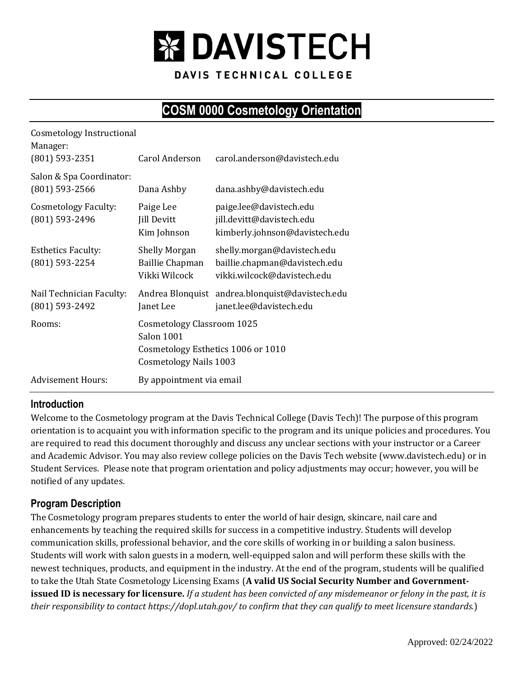

DAVIS TECHNICAL COLLEGE

# **COSM 0000 Cosmetology Orientation**

| <b>Cosmetology Instructional</b><br>Manager:<br>$(801)$ 593-2351 | Carol Anderson                                                                                                  | carol.anderson@davistech.edu                                                                |  |  |
|------------------------------------------------------------------|-----------------------------------------------------------------------------------------------------------------|---------------------------------------------------------------------------------------------|--|--|
| Salon & Spa Coordinator:<br>$(801)$ 593-2566                     | Dana Ashby                                                                                                      | dana.ashby@davistech.edu                                                                    |  |  |
| <b>Cosmetology Faculty:</b><br>(801) 593-2496                    | Paige Lee<br><b>Jill Devitt</b><br>Kim Johnson                                                                  | paige.lee@davistech.edu<br>jill.devitt@davistech.edu<br>kimberly.johnson@davistech.edu      |  |  |
| <b>Esthetics Faculty:</b><br>(801) 593-2254                      | <b>Shelly Morgan</b><br><b>Baillie Chapman</b><br>Vikki Wilcock                                                 | shelly.morgan@davistech.edu<br>baillie.chapman@davistech.edu<br>vikki.wilcock@davistech.edu |  |  |
| Nail Technician Faculty:<br>(801) 593-2492                       | Janet Lee                                                                                                       | Andrea Blonquist andrea.blonquist@davistech.edu<br>janet.lee@davistech.edu                  |  |  |
| Rooms:                                                           | Cosmetology Classroom 1025<br>Salon 1001<br>Cosmetology Esthetics 1006 or 1010<br><b>Cosmetology Nails 1003</b> |                                                                                             |  |  |
| <b>Advisement Hours:</b>                                         | By appointment via email                                                                                        |                                                                                             |  |  |

## **Introduction**

Welcome to the Cosmetology program at the Davis Technical College (Davis Tech)! The purpose of this program orientation is to acquaint you with information specific to the program and its unique policies and procedures. You are required to read this document thoroughly and discuss any unclear sections with your instructor or a Career and Academic Advisor. You may also review college policies on the Davis Tech website (www.davistech.edu) or in Student Services. Please note that program orientation and policy adjustments may occur; however, you will be notified of any updates.

## **Program Description**

The Cosmetology program prepares students to enter the world of hair design, skincare, nail care and enhancements by teaching the required skills for success in a competitive industry. Students will develop communication skills, professional behavior, and the core skills of working in or building a salon business. Students will work with salon guests in a modern, well-equipped salon and will perform these skills with the newest techniques, products, and equipment in the industry. At the end of the program, students will be qualified to take the Utah State Cosmetology Licensing Exams (**A valid US Social Security Number and Governmentissued ID is necessary for licensure.** *If a student has been convicted of any misdemeanor or felony in the past, it is their responsibility to contact https://dopl.utah.gov/ to confirm that they can qualify to meet licensure standards.*)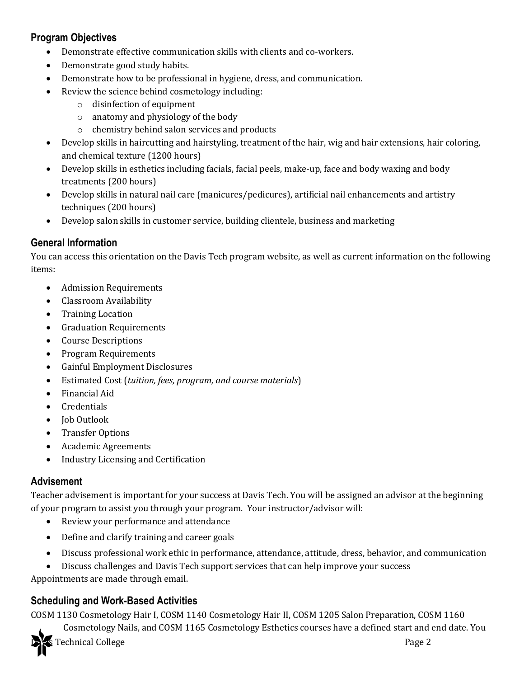## **Program Objectives**

- Demonstrate effective communication skills with clients and co-workers.
- Demonstrate good study habits.
- Demonstrate how to be professional in hygiene, dress, and communication.
- Review the science behind cosmetology including:
	- o disinfection of equipment
	- o anatomy and physiology of the body
	- o chemistry behind salon services and products
- Develop skills in haircutting and hairstyling, treatment of the hair, wig and hair extensions, hair coloring, and chemical texture (1200 hours)
- Develop skills in esthetics including facials, facial peels, make-up, face and body waxing and body treatments (200 hours)
- Develop skills in natural nail care (manicures/pedicures), artificial nail enhancements and artistry techniques (200 hours)
- Develop salon skills in customer service, building clientele, business and marketing

## **General Information**

You can access this orientation on the Davis Tech program website, as well as current information on the following items:

- Admission Requirements
- Classroom Availability
- Training Location
- Graduation Requirements
- Course Descriptions
- Program Requirements
- Gainful Employment Disclosures
- Estimated Cost (*tuition, fees, program, and course materials*)
- Financial Aid
- **Credentials**
- Job Outlook
- Transfer Options
- Academic Agreements
- Industry Licensing and Certification

## **Advisement**

Teacher advisement is important for your success at Davis Tech. You will be assigned an advisor at the beginning of your program to assist you through your program. Your instructor/advisor will:

- Review your performance and attendance
- Define and clarify training and career goals
- Discuss professional work ethic in performance, attendance, attitude, dress, behavior, and communication
- Discuss challenges and Davis Tech support services that can help improve your success

Appointments are made through email.

## **Scheduling and Work-Based Activities**

COSM 1130 Cosmetology Hair I, COSM 1140 Cosmetology Hair II, COSM 1205 Salon Preparation, COSM 1160

Cosmetology Nails, and COSM 1165 Cosmetology Esthetics courses have a defined start and end date. You

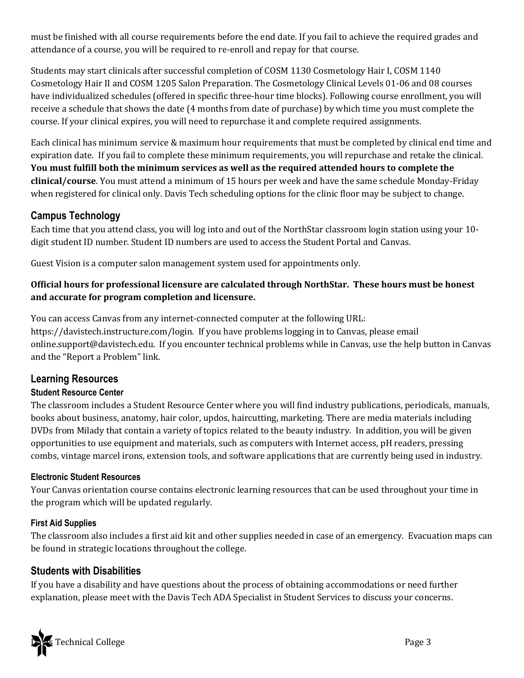must be finished with all course requirements before the end date. If you fail to achieve the required grades and attendance of a course, you will be required to re-enroll and repay for that course.

Students may start clinicals after successful completion of COSM 1130 Cosmetology Hair I, COSM 1140 Cosmetology Hair II and COSM 1205 Salon Preparation. The Cosmetology Clinical Levels 01-06 and 08 courses have individualized schedules (offered in specific three-hour time blocks). Following course enrollment, you will receive a schedule that shows the date (4 months from date of purchase) by which time you must complete the course. If your clinical expires, you will need to repurchase it and complete required assignments.

Each clinical has minimum service & maximum hour requirements that must be completed by clinical end time and expiration date. If you fail to complete these minimum requirements, you will repurchase and retake the clinical. **You must fulfill both the minimum services as well as the required attended hours to complete the clinical/course**. You must attend a minimum of 15 hours per week and have the same schedule Monday-Friday when registered for clinical only. Davis Tech scheduling options for the clinic floor may be subject to change.

## **Campus Technology**

Each time that you attend class, you will log into and out of the NorthStar classroom login station using your 10 digit student ID number. Student ID numbers are used to access the Student Portal and Canvas.

Guest Vision is a computer salon management system used for appointments only.

## **Official hours for professional licensure are calculated through NorthStar. These hours must be honest and accurate for program completion and licensure.**

You can access Canvas from any internet-connected computer at the following URL: https://davistech.instructure.com/login. If you have problems logging in to Canvas, please email online.support@davistech.edu. If you encounter technical problems while in Canvas, use the help button in Canvas and the "Report a Problem" link.

## **Learning Resources**

## **Student Resource Center**

The classroom includes a Student Resource Center where you will find industry publications, periodicals, manuals, books about business, anatomy, hair color, updos, haircutting, marketing. There are media materials including DVDs from Milady that contain a variety of topics related to the beauty industry. In addition, you will be given opportunities to use equipment and materials, such as computers with Internet access, pH readers, pressing combs, vintage marcel irons, extension tools, and software applications that are currently being used in industry.

### **Electronic Student Resources**

Your Canvas orientation course contains electronic learning resources that can be used throughout your time in the program which will be updated regularly.

### **First Aid Supplies**

The classroom also includes a first aid kit and other supplies needed in case of an emergency. Evacuation maps can be found in strategic locations throughout the college.

## **Students with Disabilities**

If you have a disability and have questions about the process of obtaining accommodations or need further explanation, please meet with the Davis Tech ADA Specialist in Student Services to discuss your concerns.

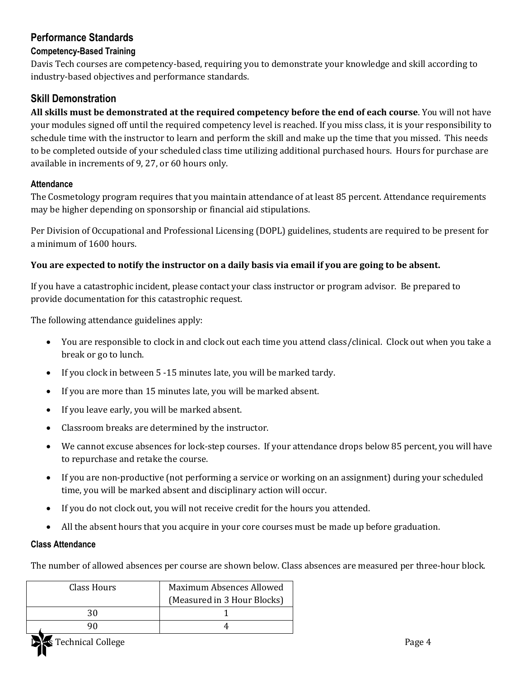## **Performance Standards**

### **Competency-Based Training**

Davis Tech courses are competency-based, requiring you to demonstrate your knowledge and skill according to industry-based objectives and performance standards.

## **Skill Demonstration**

**All skills must be demonstrated at the required competency before the end of each course**. You will not have your modules signed off until the required competency level is reached. If you miss class, it is your responsibility to schedule time with the instructor to learn and perform the skill and make up the time that you missed. This needs to be completed outside of your scheduled class time utilizing additional purchased hours. Hours for purchase are available in increments of 9, 27, or 60 hours only.

### **Attendance**

The Cosmetology program requires that you maintain attendance of at least 85 percent. Attendance requirements may be higher depending on sponsorship or financial aid stipulations.

Per Division of Occupational and Professional Licensing (DOPL) guidelines, students are required to be present for a minimum of 1600 hours.

### **You are expected to notify the instructor on a daily basis via email if you are going to be absent.**

If you have a catastrophic incident, please contact your class instructor or program advisor. Be prepared to provide documentation for this catastrophic request.

The following attendance guidelines apply:

- You are responsible to clock in and clock out each time you attend class/clinical. Clock out when you take a break or go to lunch.
- If you clock in between 5 -15 minutes late, you will be marked tardy.
- If you are more than 15 minutes late, you will be marked absent.
- If you leave early, you will be marked absent.
- Classroom breaks are determined by the instructor.
- We cannot excuse absences for lock-step courses. If your attendance drops below 85 percent, you will have to repurchase and retake the course.
- If you are non-productive (not performing a service or working on an assignment) during your scheduled time, you will be marked absent and disciplinary action will occur.
- If you do not clock out, you will not receive credit for the hours you attended.
- All the absent hours that you acquire in your core courses must be made up before graduation.

### **Class Attendance**

The number of allowed absences per course are shown below. Class absences are measured per three-hour block.

| Class Hours | Maximum Absences Allowed    |  |  |
|-------------|-----------------------------|--|--|
|             | (Measured in 3 Hour Blocks) |  |  |
| ጻበ          |                             |  |  |
|             |                             |  |  |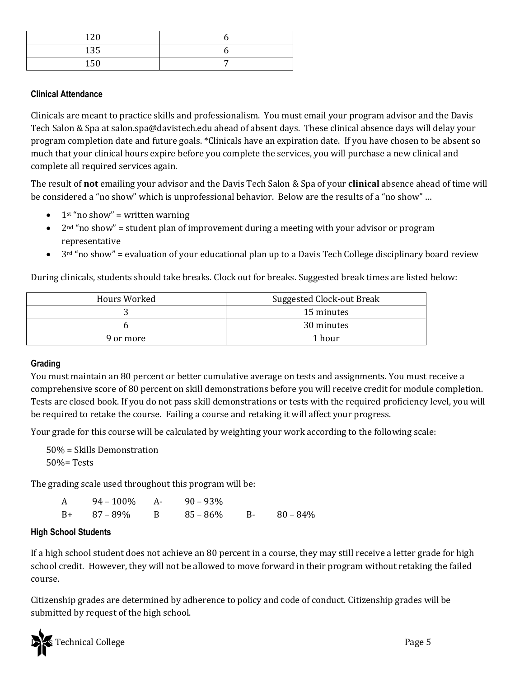| 120 |  |
|-----|--|
| 135 |  |
| 150 |  |

### **Clinical Attendance**

Clinicals are meant to practice skills and professionalism. You must email your program advisor and the Davis Tech Salon & Spa at salon.spa@davistech.edu ahead of absent days. These clinical absence days will delay your program completion date and future goals. \*Clinicals have an expiration date. If you have chosen to be absent so much that your clinical hours expire before you complete the services, you will purchase a new clinical and complete all required services again.

The result of **not** emailing your advisor and the Davis Tech Salon & Spa of your **clinical** absence ahead of time will be considered a "no show" which is unprofessional behavior. Below are the results of a "no show" …

- $1<sup>st</sup>$ "no show" = written warning
- $2<sup>nd</sup>$  "no show" = student plan of improvement during a meeting with your advisor or program representative
- 3<sup>rd</sup> "no show" = evaluation of your educational plan up to a Davis Tech College disciplinary board review

During clinicals, students should take breaks. Clock out for breaks. Suggested break times are listed below:

| Hours Worked | Suggested Clock-out Break |  |
|--------------|---------------------------|--|
|              | 15 minutes                |  |
|              | 30 minutes                |  |
| 9 or more    | 1 hour                    |  |

#### **Grading**

You must maintain an 80 percent or better cumulative average on tests and assignments. You must receive a comprehensive score of 80 percent on skill demonstrations before you will receive credit for module completion. Tests are closed book. If you do not pass skill demonstrations or tests with the required proficiency level, you will be required to retake the course. Failing a course and retaking it will affect your progress.

Your grade for this course will be calculated by weighting your work according to the following scale:

50% = Skills Demonstration 50%= Tests

The grading scale used throughout this program will be:

| $94 - 100\%$ A- $90 - 93\%$ |                                     |  |
|-----------------------------|-------------------------------------|--|
|                             | $B+$ 87 – 89% B 85 – 86% B 80 – 84% |  |

#### **High School Students**

If a high school student does not achieve an 80 percent in a course, they may still receive a letter grade for high school credit. However, they will not be allowed to move forward in their program without retaking the failed course.

Citizenship grades are determined by adherence to policy and code of conduct. Citizenship grades will be submitted by request of the high school.

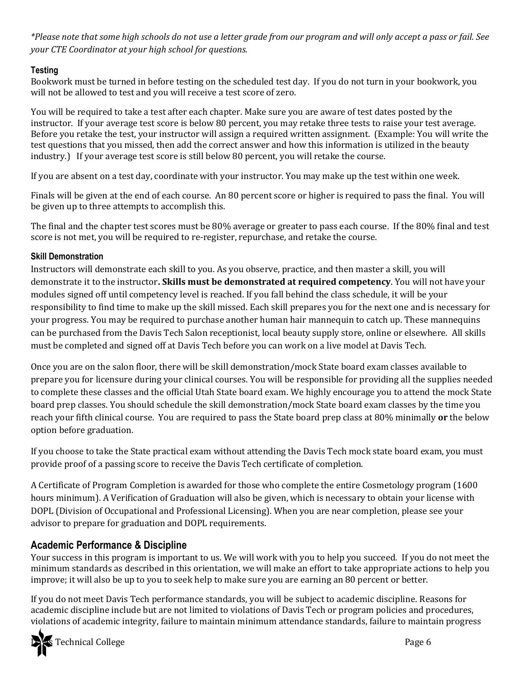*\*Please note that some high schools do not use a letter grade from our program and will only accept a pass or fail. See your CTE Coordinator at your high school for questions.*

## **Testing**

Bookwork must be turned in before testing on the scheduled test day. If you do not turn in your bookwork, you will not be allowed to test and you will receive a test score of zero.

You will be required to take a test after each chapter. Make sure you are aware of test dates posted by the instructor. If your average test score is below 80 percent, you may retake three tests to raise your test average. Before you retake the test, your instructor will assign a required written assignment. (Example: You will write the test questions that you missed, then add the correct answer and how this information is utilized in the beauty industry.) If your average test score is still below 80 percent, you will retake the course.

If you are absent on a test day, coordinate with your instructor. You may make up the test within one week.

Finals will be given at the end of each course. An 80 percent score or higher is required to pass the final. You will be given up to three attempts to accomplish this.

The final and the chapter test scores must be 80% average or greater to pass each course. If the 80% final and test score is not met, you will be required to re-register, repurchase, and retake the course.

### **Skill Demonstration**

Instructors will demonstrate each skill to you. As you observe, practice, and then master a skill, you will demonstrate it to the instructor**. Skills must be demonstrated at required competency**. You will not have your modules signed off until competency level is reached. If you fall behind the class schedule, it will be your responsibility to find time to make up the skill missed. Each skill prepares you for the next one and is necessary for your progress. You may be required to purchase another human hair mannequin to catch up. These mannequins can be purchased from the Davis Tech Salon receptionist, local beauty supply store, online or elsewhere. All skills must be completed and signed off at Davis Tech before you can work on a live model at Davis Tech.

Once you are on the salon floor, there will be skill demonstration/mock State board exam classes available to prepare you for licensure during your clinical courses. You will be responsible for providing all the supplies needed to complete these classes and the official Utah State board exam. We highly encourage you to attend the mock State board prep classes. You should schedule the skill demonstration/mock State board exam classes by the time you reach your fifth clinical course. You are required to pass the State board prep class at 80% minimally **or** the below option before graduation.

If you choose to take the State practical exam without attending the Davis Tech mock state board exam, you must provide proof of a passing score to receive the Davis Tech certificate of completion.

A Certificate of Program Completion is awarded for those who complete the entire Cosmetology program (1600 hours minimum). A Verification of Graduation will also be given, which is necessary to obtain your license with DOPL (Division of Occupational and Professional Licensing). When you are near completion, please see your advisor to prepare for graduation and DOPL requirements.

## **Academic Performance & Discipline**

Your success in this program is important to us. We will work with you to help you succeed. If you do not meet the minimum standards as described in this orientation, we will make an effort to take appropriate actions to help you improve; it will also be up to you to seek help to make sure you are earning an 80 percent or better.

If you do not meet Davis Tech performance standards, you will be subject to academic discipline. Reasons for academic discipline include but are not limited to violations of Davis Tech or program policies and procedures, violations of academic integrity, failure to maintain minimum attendance standards, failure to maintain progress

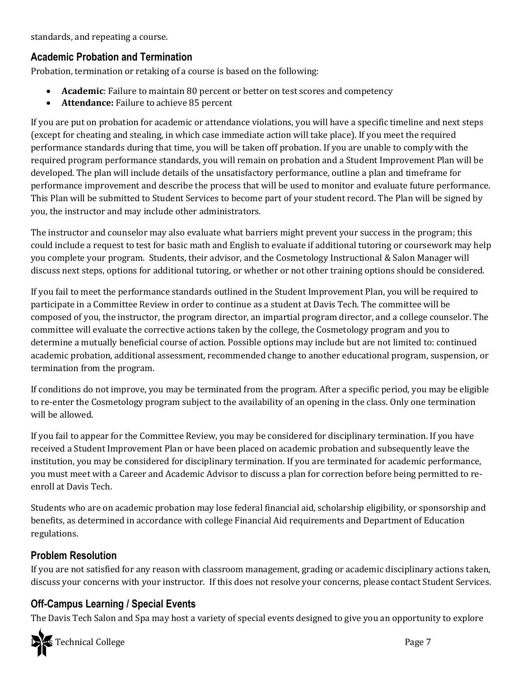standards, and repeating a course.

## **Academic Probation and Termination**

Probation, termination or retaking of a course is based on the following:

- **Academic**: Failure to maintain 80 percent or better on test scores and competency
- **Attendance:** Failure to achieve 85 percent

If you are put on probation for academic or attendance violations, you will have a specific timeline and next steps (except for cheating and stealing, in which case immediate action will take place). If you meet the required performance standards during that time, you will be taken off probation. If you are unable to comply with the required program performance standards, you will remain on probation and a Student Improvement Plan will be developed. The plan will include details of the unsatisfactory performance, outline a plan and timeframe for performance improvement and describe the process that will be used to monitor and evaluate future performance. This Plan will be submitted to Student Services to become part of your student record. The Plan will be signed by you, the instructor and may include other administrators.

The instructor and counselor may also evaluate what barriers might prevent your success in the program; this could include a request to test for basic math and English to evaluate if additional tutoring or coursework may help you complete your program. Students, their advisor, and the Cosmetology Instructional & Salon Manager will discuss next steps, options for additional tutoring, or whether or not other training options should be considered.

If you fail to meet the performance standards outlined in the Student Improvement Plan, you will be required to participate in a Committee Review in order to continue as a student at Davis Tech. The committee will be composed of you, the instructor, the program director, an impartial program director, and a college counselor. The committee will evaluate the corrective actions taken by the college, the Cosmetology program and you to determine a mutually beneficial course of action. Possible options may include but are not limited to: continued academic probation, additional assessment, recommended change to another educational program, suspension, or termination from the program.

If conditions do not improve, you may be terminated from the program. After a specific period, you may be eligible to re-enter the Cosmetology program subject to the availability of an opening in the class. Only one termination will be allowed.

If you fail to appear for the Committee Review, you may be considered for disciplinary termination. If you have received a Student Improvement Plan or have been placed on academic probation and subsequently leave the institution, you may be considered for disciplinary termination. If you are terminated for academic performance, you must meet with a Career and Academic Advisor to discuss a plan for correction before being permitted to reenroll at Davis Tech.

Students who are on academic probation may lose federal financial aid, scholarship eligibility, or sponsorship and benefits, as determined in accordance with college Financial Aid requirements and Department of Education regulations.

## **Problem Resolution**

If you are not satisfied for any reason with classroom management, grading or academic disciplinary actions taken, discuss your concerns with your instructor. If this does not resolve your concerns, please contact Student Services.

## **Off-Campus Learning / Special Events**

The Davis Tech Salon and Spa may host a variety of special events designed to give you an opportunity to explore

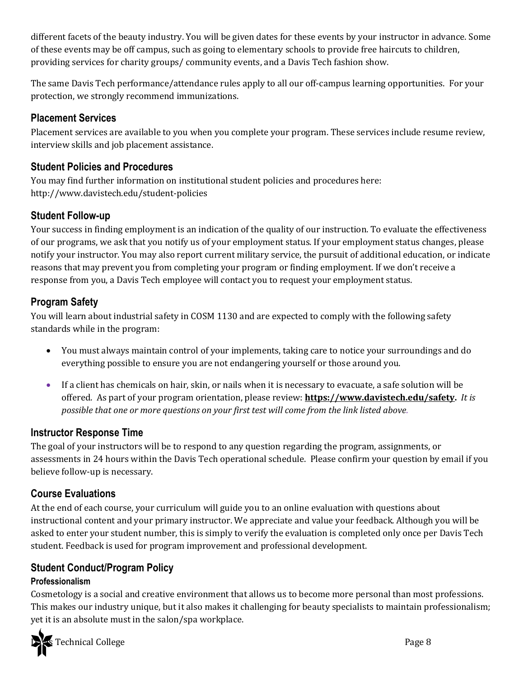different facets of the beauty industry. You will be given dates for these events by your instructor in advance. Some of these events may be off campus, such as going to elementary schools to provide free haircuts to children, providing services for charity groups/ community events, and a Davis Tech fashion show.

The same Davis Tech performance/attendance rules apply to all our off-campus learning opportunities. For your protection, we strongly recommend immunizations.

## **Placement Services**

Placement services are available to you when you complete your program. These services include resume review, interview skills and job placement assistance.

## **Student Policies and Procedures**

You may find further information on institutional student policies and procedures here: http://www.davistech.edu/student-policies

## **Student Follow-up**

Your success in finding employment is an indication of the quality of our instruction. To evaluate the effectiveness of our programs, we ask that you notify us of your employment status. If your employment status changes, please notify your instructor. You may also report current military service, the pursuit of additional education, or indicate reasons that may prevent you from completing your program or finding employment. If we don't receive a response from you, a Davis Tech employee will contact you to request your employment status.

## **Program Safety**

You will learn about industrial safety in COSM 1130 and are expected to comply with the following safety standards while in the program:

- You must always maintain control of your implements, taking care to notice your surroundings and do everything possible to ensure you are not endangering yourself or those around you.
- If a client has chemicals on hair, skin, or nails when it is necessary to evacuate, a safe solution will be offered. As part of your program orientation, please review: **[https://www.davistech.edu/safety.](https://www.davistech.edu/safety)** *It is possible that one or more questions on your first test will come from the link listed above.*

## **Instructor Response Time**

The goal of your instructors will be to respond to any question regarding the program, assignments, or assessments in 24 hours within the Davis Tech operational schedule. Please confirm your question by email if you believe follow-up is necessary.

## **Course Evaluations**

At the end of each course, your curriculum will guide you to an online evaluation with questions about instructional content and your primary instructor. We appreciate and value your feedback. Although you will be asked to enter your student number, this is simply to verify the evaluation is completed only once per Davis Tech student. Feedback is used for program improvement and professional development.

## **Student Conduct/Program Policy**

## **Professionalism**

Cosmetology is a social and creative environment that allows us to become more personal than most professions. This makes our industry unique, but it also makes it challenging for beauty specialists to maintain professionalism; yet it is an absolute must in the salon/spa workplace.

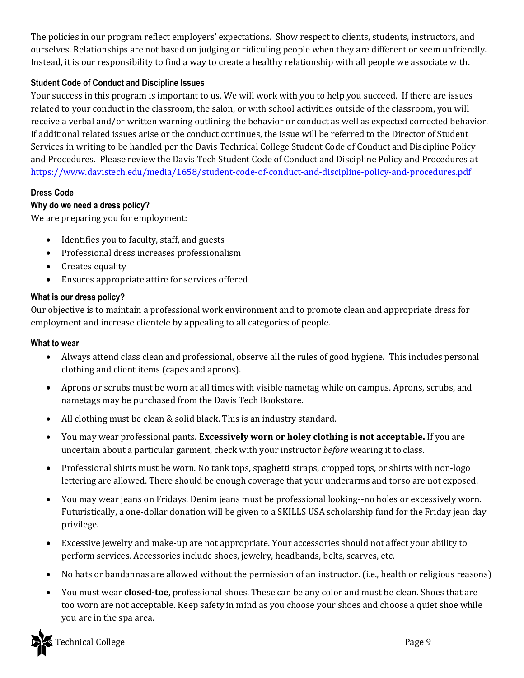The policies in our program reflect employers' expectations. Show respect to clients, students, instructors, and ourselves. Relationships are not based on judging or ridiculing people when they are different or seem unfriendly. Instead, it is our responsibility to find a way to create a healthy relationship with all people we associate with.

### **Student Code of Conduct and Discipline Issues**

Your success in this program is important to us. We will work with you to help you succeed. If there are issues related to your conduct in the classroom, the salon, or with school activities outside of the classroom, you will receive a verbal and/or written warning outlining the behavior or conduct as well as expected corrected behavior. If additional related issues arise or the conduct continues, the issue will be referred to the Director of Student Services in writing to be handled per the Davis Technical College Student Code of Conduct and Discipline Policy and Procedures. Please review the Davis Tech Student Code of Conduct and Discipline Policy and Procedures at <https://www.davistech.edu/media/1658/student-code-of-conduct-and-discipline-policy-and-procedures.pdf>

### **Dress Code**

### **Why do we need a dress policy?**

We are preparing you for employment:

- Identifies you to faculty, staff, and guests
- Professional dress increases professionalism
- Creates equality
- Ensures appropriate attire for services offered

### **What is our dress policy?**

Our objective is to maintain a professional work environment and to promote clean and appropriate dress for employment and increase clientele by appealing to all categories of people.

#### **What to wear**

- Always attend class clean and professional, observe all the rules of good hygiene. This includes personal clothing and client items (capes and aprons).
- Aprons or scrubs must be worn at all times with visible nametag while on campus. Aprons, scrubs, and nametags may be purchased from the Davis Tech Bookstore.
- All clothing must be clean & solid black. This is an industry standard.
- You may wear professional pants. **Excessively worn or holey clothing is not acceptable.** If you are uncertain about a particular garment, check with your instructor *before* wearing it to class.
- Professional shirts must be worn. No tank tops, spaghetti straps, cropped tops, or shirts with non-logo lettering are allowed. There should be enough coverage that your underarms and torso are not exposed.
- You may wear jeans on Fridays. Denim jeans must be professional looking--no holes or excessively worn. Futuristically, a one-dollar donation will be given to a SKILLS USA scholarship fund for the Friday jean day privilege.
- Excessive jewelry and make-up are not appropriate. Your accessories should not affect your ability to perform services. Accessories include shoes, jewelry, headbands, belts, scarves, etc.
- No hats or bandannas are allowed without the permission of an instructor. (i.e., health or religious reasons)
- You must wear **closed-toe**, professional shoes. These can be any color and must be clean. Shoes that are too worn are not acceptable. Keep safety in mind as you choose your shoes and choose a quiet shoe while you are in the spa area.

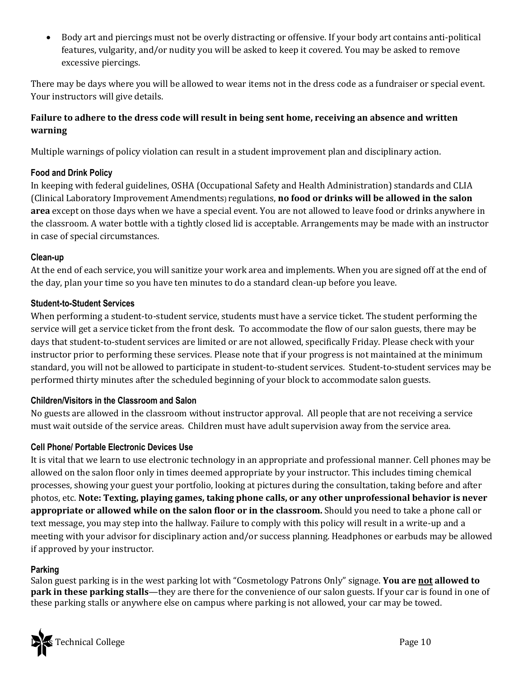• Body art and piercings must not be overly distracting or offensive. If your body art contains anti-political features, vulgarity, and/or nudity you will be asked to keep it covered. You may be asked to remove excessive piercings.

There may be days where you will be allowed to wear items not in the dress code as a fundraiser or special event. Your instructors will give details.

### **Failure to adhere to the dress code will result in being sent home, receiving an absence and written warning**

Multiple warnings of policy violation can result in a student improvement plan and disciplinary action.

### **Food and Drink Policy**

In keeping with federal guidelines, OSHA (Occupational Safety and Health Administration) standards and CLIA (Clinical Laboratory Improvement Amendments) regulations, **no food or drinks will be allowed in the salon area** except on those days when we have a special event. You are not allowed to leave food or drinks anywhere in the classroom. A water bottle with a tightly closed lid is acceptable. Arrangements may be made with an instructor in case of special circumstances.

### **Clean-up**

At the end of each service, you will sanitize your work area and implements. When you are signed off at the end of the day, plan your time so you have ten minutes to do a standard clean-up before you leave.

### **Student-to-Student Services**

When performing a student-to-student service, students must have a service ticket. The student performing the service will get a service ticket from the front desk. To accommodate the flow of our salon guests, there may be days that student-to-student services are limited or are not allowed, specifically Friday. Please check with your instructor prior to performing these services. Please note that if your progress is not maintained at the minimum standard, you will not be allowed to participate in student-to-student services. Student-to-student services may be performed thirty minutes after the scheduled beginning of your block to accommodate salon guests.

### **Children/Visitors in the Classroom and Salon**

No guests are allowed in the classroom without instructor approval. All people that are not receiving a service must wait outside of the service areas. Children must have adult supervision away from the service area.

### **Cell Phone/ Portable Electronic Devices Use**

It is vital that we learn to use electronic technology in an appropriate and professional manner. Cell phones may be allowed on the salon floor only in times deemed appropriate by your instructor. This includes timing chemical processes, showing your guest your portfolio, looking at pictures during the consultation, taking before and after photos, etc. **Note: Texting, playing games, taking phone calls, or any other unprofessional behavior is never appropriate or allowed while on the salon floor or in the classroom.** Should you need to take a phone call or text message, you may step into the hallway. Failure to comply with this policy will result in a write-up and a meeting with your advisor for disciplinary action and/or success planning. Headphones or earbuds may be allowed if approved by your instructor.

#### **Parking**

Salon guest parking is in the west parking lot with "Cosmetology Patrons Only" signage. **You are not allowed to park in these parking stalls—they** are there for the convenience of our salon guests. If your car is found in one of these parking stalls or anywhere else on campus where parking is not allowed, your car may be towed.

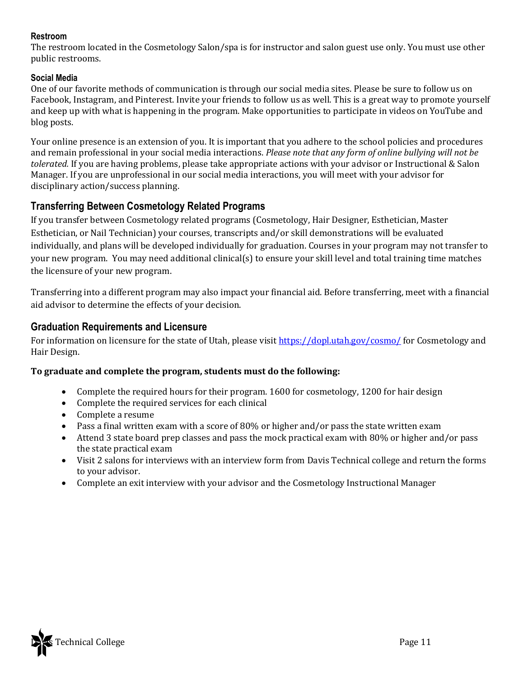### **Restroom**

The restroom located in the Cosmetology Salon/spa is for instructor and salon guest use only. You must use other public restrooms.

### **Social Media**

One of our favorite methods of communication is through our social media sites. Please be sure to follow us on Facebook, Instagram, and Pinterest. Invite your friends to follow us as well. This is a great way to promote yourself and keep up with what is happening in the program. Make opportunities to participate in videos on YouTube and blog posts.

Your online presence is an extension of you. It is important that you adhere to the school policies and procedures and remain professional in your social media interactions. *Please note that any form of online bullying will not be tolerated.* If you are having problems, please take appropriate actions with your advisor or Instructional & Salon Manager. If you are unprofessional in our social media interactions, you will meet with your advisor for disciplinary action/success planning.

## **Transferring Between Cosmetology Related Programs**

If you transfer between Cosmetology related programs (Cosmetology, Hair Designer, Esthetician, Master Esthetician, or Nail Technician) your courses, transcripts and/or skill demonstrations will be evaluated individually, and plans will be developed individually for graduation. Courses in your program may not transfer to your new program. You may need additional clinical(s) to ensure your skill level and total training time matches the licensure of your new program.

Transferring into a different program may also impact your financial aid. Before transferring, meet with a financial aid advisor to determine the effects of your decision.

## **Graduation Requirements and Licensure**

For information on licensure for the state of Utah, please visit<https://dopl.utah.gov/cosmo/> for Cosmetology and Hair Design.

### **To graduate and complete the program, students must do the following:**

- Complete the required hours for their program. 1600 for cosmetology, 1200 for hair design
- Complete the required services for each clinical
- Complete a resume
- Pass a final written exam with a score of 80% or higher and/or pass the state written exam
- Attend 3 state board prep classes and pass the mock practical exam with 80% or higher and/or pass the state practical exam
- Visit 2 salons for interviews with an interview form from Davis Technical college and return the forms to your advisor.
- Complete an exit interview with your advisor and the Cosmetology Instructional Manager

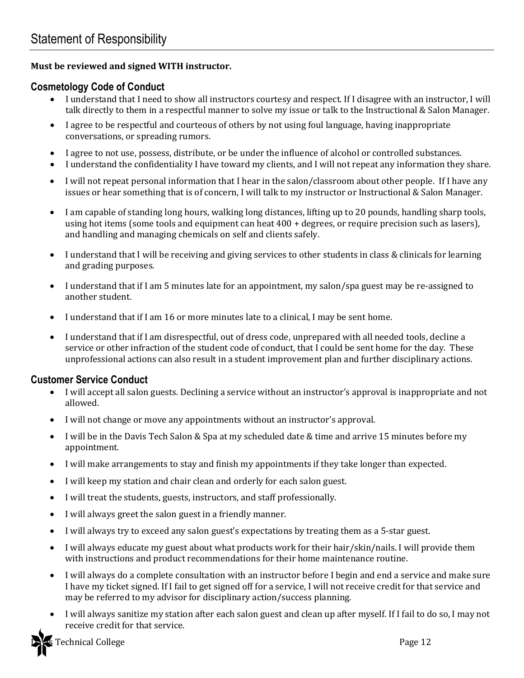### **Must be reviewed and signed WITH instructor.**

### **Cosmetology Code of Conduct**

- I understand that I need to show all instructors courtesy and respect. If I disagree with an instructor, I will talk directly to them in a respectful manner to solve my issue or talk to the Instructional & Salon Manager.
- I agree to be respectful and courteous of others by not using foul language, having inappropriate conversations, or spreading rumors.
- I agree to not use, possess, distribute, or be under the influence of alcohol or controlled substances.
- I understand the confidentiality I have toward my clients, and I will not repeat any information they share.
- I will not repeat personal information that I hear in the salon/classroom about other people. If I have any issues or hear something that is of concern, I will talk to my instructor or Instructional & Salon Manager.
- I am capable of standing long hours, walking long distances, lifting up to 20 pounds, handling sharp tools, using hot items (some tools and equipment can heat 400 + degrees, or require precision such as lasers), and handling and managing chemicals on self and clients safely.
- I understand that I will be receiving and giving services to other students in class & clinicals for learning and grading purposes.
- I understand that if I am 5 minutes late for an appointment, my salon/spa guest may be re-assigned to another student.
- I understand that if I am 16 or more minutes late to a clinical, I may be sent home.
- I understand that if I am disrespectful, out of dress code, unprepared with all needed tools, decline a service or other infraction of the student code of conduct, that I could be sent home for the day. These unprofessional actions can also result in a student improvement plan and further disciplinary actions.

### **Customer Service Conduct**

- I will accept all salon guests. Declining a service without an instructor's approval is inappropriate and not allowed.
- I will not change or move any appointments without an instructor's approval.
- I will be in the Davis Tech Salon & Spa at my scheduled date & time and arrive 15 minutes before my appointment.
- I will make arrangements to stay and finish my appointments if they take longer than expected.
- I will keep my station and chair clean and orderly for each salon guest.
- I will treat the students, guests, instructors, and staff professionally.
- I will always greet the salon guest in a friendly manner.
- I will always try to exceed any salon guest's expectations by treating them as a 5-star guest.
- I will always educate my guest about what products work for their hair/skin/nails. I will provide them with instructions and product recommendations for their home maintenance routine.
- I will always do a complete consultation with an instructor before I begin and end a service and make sure I have my ticket signed. If I fail to get signed off for a service, I will not receive credit for that service and may be referred to my advisor for disciplinary action/success planning.
- I will always sanitize my station after each salon guest and clean up after myself. If I fail to do so, I may not receive credit for that service.